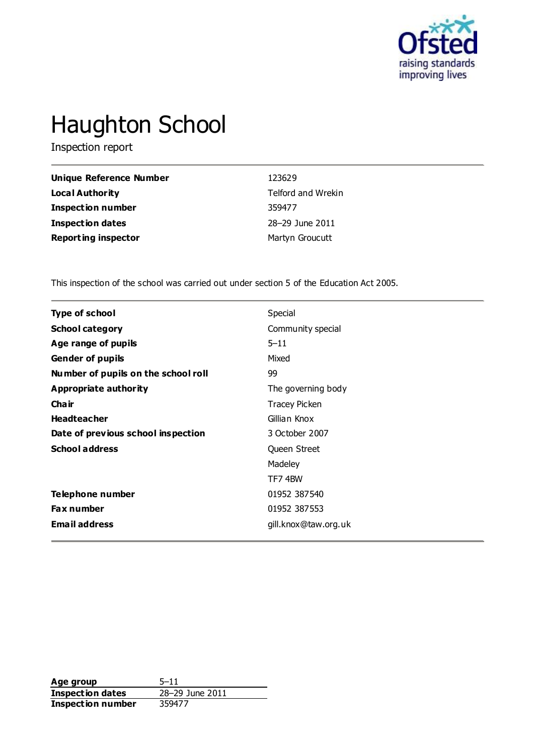

# Haughton School

Inspection report

| Unique Reference Number    | 123629             |
|----------------------------|--------------------|
| Local Authority            | Telford and Wrekin |
| <b>Inspection number</b>   | 359477             |
| <b>Inspection dates</b>    | 28-29 June 2011    |
| <b>Reporting inspector</b> | Martyn Groucutt    |

This inspection of the school was carried out under section 5 of the Education Act 2005.

| <b>Type of school</b>               | Special              |
|-------------------------------------|----------------------|
| <b>School category</b>              | Community special    |
| Age range of pupils                 | $5 - 11$             |
| <b>Gender of pupils</b>             | Mixed                |
| Number of pupils on the school roll | 99                   |
| <b>Appropriate authority</b>        | The governing body   |
| Cha ir                              | <b>Tracey Picken</b> |
| <b>Headteacher</b>                  | Gillian Knox         |
| Date of previous school inspection  | 3 October 2007       |
| <b>School address</b>               | Queen Street         |
|                                     | Madeley              |
|                                     | TF74BW               |
| Telephone number                    | 01952 387540         |
| <b>Fax number</b>                   | 01952 387553         |
| <b>Email address</b>                | gill.knox@taw.org.uk |

**Age group** 5-11<br> **Inspection dates** 28-29 June 2011 **Inspection dates** 28–29 June 2011 **Inspection number** 359477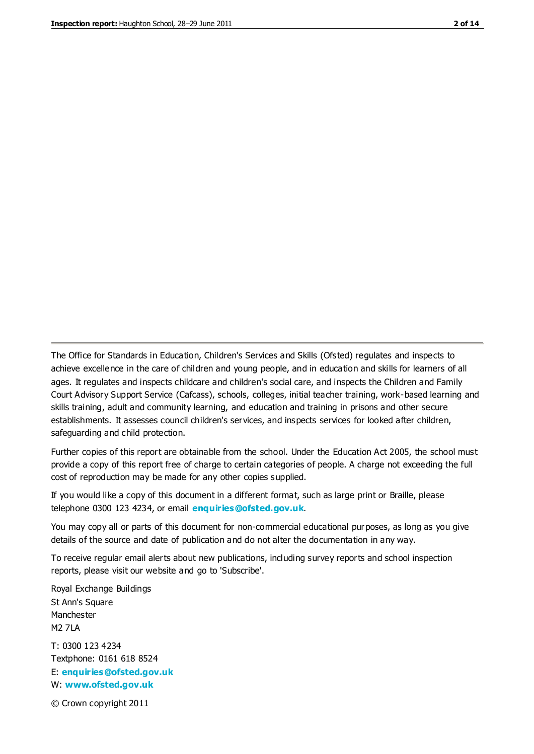The Office for Standards in Education, Children's Services and Skills (Ofsted) regulates and inspects to achieve excellence in the care of children and young people, and in education and skills for learners of all ages. It regulates and inspects childcare and children's social care, and inspects the Children and Family Court Advisory Support Service (Cafcass), schools, colleges, initial teacher training, work-based learning and skills training, adult and community learning, and education and training in prisons and other secure establishments. It assesses council children's services, and inspects services for looked after children, safeguarding and child protection.

Further copies of this report are obtainable from the school. Under the Education Act 2005, the school must provide a copy of this report free of charge to certain categories of people. A charge not exceeding the full cost of reproduction may be made for any other copies supplied.

If you would like a copy of this document in a different format, such as large print or Braille, please telephone 0300 123 4234, or email **[enquiries@ofsted.gov.uk](mailto:enquiries@ofsted.gov.uk)**.

You may copy all or parts of this document for non-commercial educational purposes, as long as you give details of the source and date of publication and do not alter the documentation in any way.

To receive regular email alerts about new publications, including survey reports and school inspection reports, please visit our website and go to 'Subscribe'.

Royal Exchange Buildings St Ann's Square Manchester M2 7LA T: 0300 123 4234 Textphone: 0161 618 8524 E: **[enquiries@ofsted.gov.uk](mailto:enquiries@ofsted.gov.uk)**

W: **[www.ofsted.gov.uk](http://www.ofsted.gov.uk/)**

© Crown copyright 2011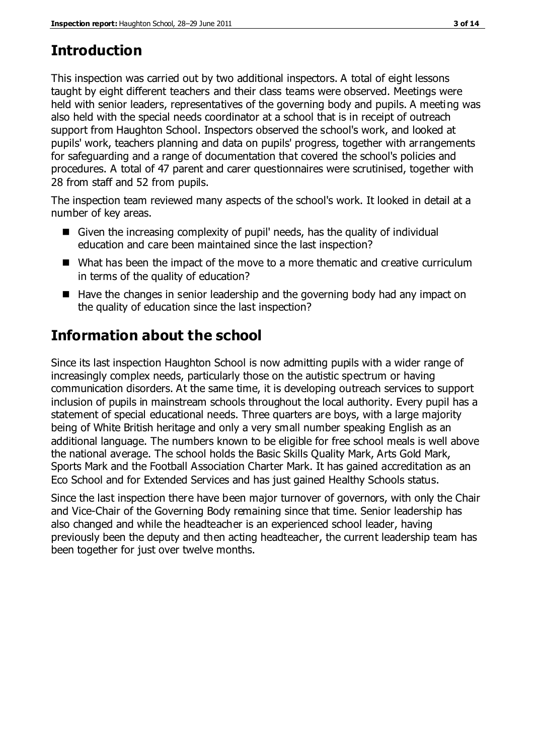# **Introduction**

This inspection was carried out by two additional inspectors. A total of eight lessons taught by eight different teachers and their class teams were observed. Meetings were held with senior leaders, representatives of the governing body and pupils. A meeting was also held with the special needs coordinator at a school that is in receipt of outreach support from Haughton School. Inspectors observed the school's work, and looked at pupils' work, teachers planning and data on pupils' progress, together with arrangements for safeguarding and a range of documentation that covered the school's policies and procedures. A total of 47 parent and carer questionnaires were scrutinised, together with 28 from staff and 52 from pupils.

The inspection team reviewed many aspects of the school's work. It looked in detail at a number of key areas.

- Given the increasing complexity of pupil' needs, has the quality of individual education and care been maintained since the last inspection?
- What has been the impact of the move to a more thematic and creative curriculum in terms of the quality of education?
- Have the changes in senior leadership and the governing body had any impact on the quality of education since the last inspection?

# **Information about the school**

Since its last inspection Haughton School is now admitting pupils with a wider range of increasingly complex needs, particularly those on the autistic spectrum or having communication disorders. At the same time, it is developing outreach services to support inclusion of pupils in mainstream schools throughout the local authority. Every pupil has a statement of special educational needs. Three quarters are boys, with a large majority being of White British heritage and only a very small number speaking English as an additional language. The numbers known to be eligible for free school meals is well above the national average. The school holds the Basic Skills Quality Mark, Arts Gold Mark, Sports Mark and the Football Association Charter Mark. It has gained accreditation as an Eco School and for Extended Services and has just gained Healthy Schools status.

Since the last inspection there have been major turnover of governors, with only the Chair and Vice-Chair of the Governing Body remaining since that time. Senior leadership has also changed and while the headteacher is an experienced school leader, having previously been the deputy and then acting headteacher, the current leadership team has been together for just over twelve months.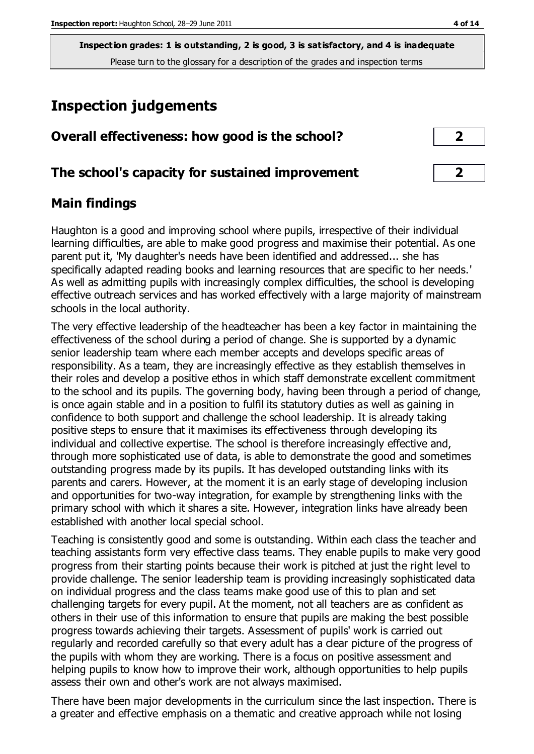# **Inspection judgements**

| Overall effectiveness: how good is the school? |  |
|------------------------------------------------|--|
|------------------------------------------------|--|

### **The school's capacity for sustained improvement 2**

## **Main findings**

Haughton is a good and improving school where pupils, irrespective of their individual learning difficulties, are able to make good progress and maximise their potential. As one parent put it, 'My daughter's needs have been identified and addressed... she has specifically adapted reading books and learning resources that are specific to her needs.' As well as admitting pupils with increasingly complex difficulties, the school is developing effective outreach services and has worked effectively with a large majority of mainstream schools in the local authority.

The very effective leadership of the headteacher has been a key factor in maintaining the effectiveness of the school during a period of change. She is supported by a dynamic senior leadership team where each member accepts and develops specific areas of responsibility. As a team, they are increasingly effective as they establish themselves in their roles and develop a positive ethos in which staff demonstrate excellent commitment to the school and its pupils. The governing body, having been through a period of change, is once again stable and in a position to fulfil its statutory duties as well as gaining in confidence to both support and challenge the school leadership. It is already taking positive steps to ensure that it maximises its effectiveness through developing its individual and collective expertise. The school is therefore increasingly effective and, through more sophisticated use of data, is able to demonstrate the good and sometimes outstanding progress made by its pupils. It has developed outstanding links with its parents and carers. However, at the moment it is an early stage of developing inclusion and opportunities for two-way integration, for example by strengthening links with the primary school with which it shares a site. However, integration links have already been established with another local special school.

Teaching is consistently good and some is outstanding. Within each class the teacher and teaching assistants form very effective class teams. They enable pupils to make very good progress from their starting points because their work is pitched at just the right level to provide challenge. The senior leadership team is providing increasingly sophisticated data on individual progress and the class teams make good use of this to plan and set challenging targets for every pupil. At the moment, not all teachers are as confident as others in their use of this information to ensure that pupils are making the best possible progress towards achieving their targets. Assessment of pupils' work is carried out regularly and recorded carefully so that every adult has a clear picture of the progress of the pupils with whom they are working. There is a focus on positive assessment and helping pupils to know how to improve their work, although opportunities to help pupils assess their own and other's work are not always maximised.

There have been major developments in the curriculum since the last inspection. There is a greater and effective emphasis on a thematic and creative approach while not losing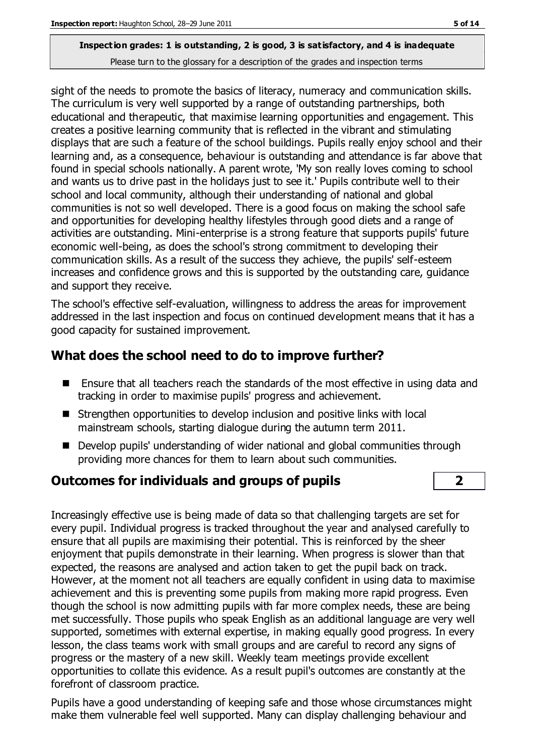sight of the needs to promote the basics of literacy, numeracy and communication skills. The curriculum is very well supported by a range of outstanding partnerships, both educational and therapeutic, that maximise learning opportunities and engagement. This creates a positive learning community that is reflected in the vibrant and stimulating displays that are such a feature of the school buildings. Pupils really enjoy school and their learning and, as a consequence, behaviour is outstanding and attendance is far above that found in special schools nationally. A parent wrote, 'My son really loves coming to school and wants us to drive past in the holidays just to see it.' Pupils contribute well to their school and local community, although their understanding of national and global communities is not so well developed. There is a good focus on making the school safe and opportunities for developing healthy lifestyles through good diets and a range of activities are outstanding. Mini-enterprise is a strong feature that supports pupils' future economic well-being, as does the school's strong commitment to developing their communication skills. As a result of the success they achieve, the pupils' self-esteem increases and confidence grows and this is supported by the outstanding care, guidance and support they receive.

The school's effective self-evaluation, willingness to address the areas for improvement addressed in the last inspection and focus on continued development means that it has a good capacity for sustained improvement.

## **What does the school need to do to improve further?**

- Ensure that all teachers reach the standards of the most effective in using data and tracking in order to maximise pupils' progress and achievement.
- Strengthen opportunities to develop inclusion and positive links with local mainstream schools, starting dialogue during the autumn term 2011.
- Develop pupils' understanding of wider national and global communities through providing more chances for them to learn about such communities.

## **Outcomes for individuals and groups of pupils 2**

Increasingly effective use is being made of data so that challenging targets are set for every pupil. Individual progress is tracked throughout the year and analysed carefully to ensure that all pupils are maximising their potential. This is reinforced by the sheer enjoyment that pupils demonstrate in their learning. When progress is slower than that expected, the reasons are analysed and action taken to get the pupil back on track. However, at the moment not all teachers are equally confident in using data to maximise achievement and this is preventing some pupils from making more rapid progress. Even though the school is now admitting pupils with far more complex needs, these are being met successfully. Those pupils who speak English as an additional language are very well supported, sometimes with external expertise, in making equally good progress. In every lesson, the class teams work with small groups and are careful to record any signs of progress or the mastery of a new skill. Weekly team meetings provide excellent opportunities to collate this evidence. As a result pupil's outcomes are constantly at the forefront of classroom practice.

Pupils have a good understanding of keeping safe and those whose circumstances might make them vulnerable feel well supported. Many can display challenging behaviour and

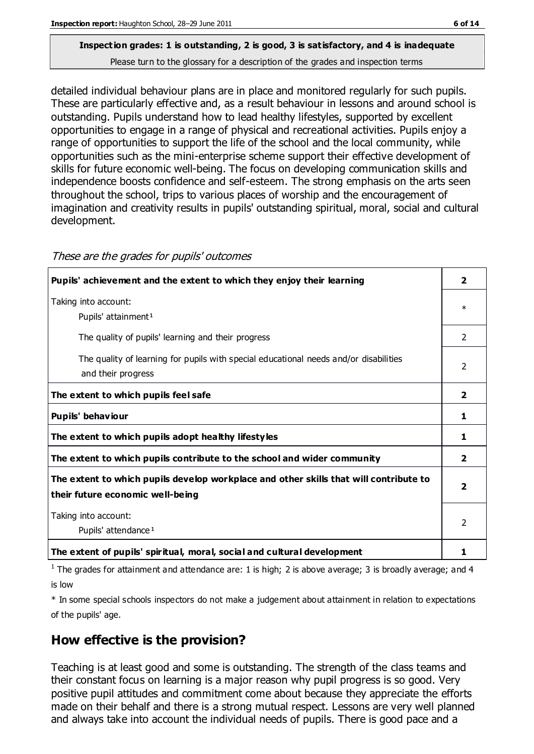detailed individual behaviour plans are in place and monitored regularly for such pupils. These are particularly effective and, as a result behaviour in lessons and around school is outstanding. Pupils understand how to lead healthy lifestyles, supported by excellent opportunities to engage in a range of physical and recreational activities. Pupils enjoy a range of opportunities to support the life of the school and the local community, while opportunities such as the mini-enterprise scheme support their effective development of skills for future economic well-being. The focus on developing communication skills and independence boosts confidence and self-esteem. The strong emphasis on the arts seen throughout the school, trips to various places of worship and the encouragement of imagination and creativity results in pupils' outstanding spiritual, moral, social and cultural development.

| Taking into account:<br>Pupils' attainment <sup>1</sup><br>The quality of pupils' learning and their progress<br>The quality of learning for pupils with special educational needs and/or disabilities<br>and their progress<br>The extent to which pupils feel safe<br>Pupils' behaviour<br>The extent to which pupils adopt healthy lifestyles<br>The extent to which pupils contribute to the school and wider community | $\ast$<br>$\mathcal{P}$<br>$\mathfrak{p}$ |
|-----------------------------------------------------------------------------------------------------------------------------------------------------------------------------------------------------------------------------------------------------------------------------------------------------------------------------------------------------------------------------------------------------------------------------|-------------------------------------------|
|                                                                                                                                                                                                                                                                                                                                                                                                                             |                                           |
|                                                                                                                                                                                                                                                                                                                                                                                                                             |                                           |
|                                                                                                                                                                                                                                                                                                                                                                                                                             |                                           |
|                                                                                                                                                                                                                                                                                                                                                                                                                             | $\mathbf{2}$                              |
|                                                                                                                                                                                                                                                                                                                                                                                                                             | 1                                         |
|                                                                                                                                                                                                                                                                                                                                                                                                                             | 1                                         |
|                                                                                                                                                                                                                                                                                                                                                                                                                             | 2                                         |
| The extent to which pupils develop workplace and other skills that will contribute to<br>their future economic well-being                                                                                                                                                                                                                                                                                                   | 2                                         |
| Taking into account:<br>Pupils' attendance <sup>1</sup>                                                                                                                                                                                                                                                                                                                                                                     | $\overline{\phantom{a}}$                  |
| The extent of pupils' spiritual, moral, social and cultural development                                                                                                                                                                                                                                                                                                                                                     | 1                                         |

These are the grades for pupils' outcomes

<sup>1</sup> The grades for attainment and attendance are: 1 is high; 2 is above average; 3 is broadly average; and 4 is low

\* In some special schools inspectors do not make a judgement about attainment in relation to expectations of the pupils' age.

## **How effective is the provision?**

Teaching is at least good and some is outstanding. The strength of the class teams and their constant focus on learning is a major reason why pupil progress is so good. Very positive pupil attitudes and commitment come about because they appreciate the efforts made on their behalf and there is a strong mutual respect. Lessons are very well planned and always take into account the individual needs of pupils. There is good pace and a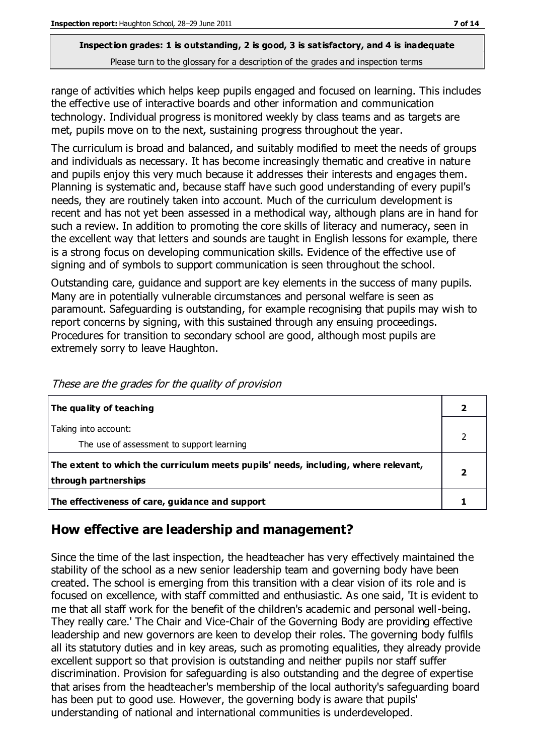range of activities which helps keep pupils engaged and focused on learning. This includes the effective use of interactive boards and other information and communication technology. Individual progress is monitored weekly by class teams and as targets are met, pupils move on to the next, sustaining progress throughout the year.

The curriculum is broad and balanced, and suitably modified to meet the needs of groups and individuals as necessary. It has become increasingly thematic and creative in nature and pupils enjoy this very much because it addresses their interests and engages them. Planning is systematic and, because staff have such good understanding of every pupil's needs, they are routinely taken into account. Much of the curriculum development is recent and has not yet been assessed in a methodical way, although plans are in hand for such a review. In addition to promoting the core skills of literacy and numeracy, seen in the excellent way that letters and sounds are taught in English lessons for example, there is a strong focus on developing communication skills. Evidence of the effective use of signing and of symbols to support communication is seen throughout the school.

Outstanding care, guidance and support are key elements in the success of many pupils. Many are in potentially vulnerable circumstances and personal welfare is seen as paramount. Safeguarding is outstanding, for example recognising that pupils may wish to report concerns by signing, with this sustained through any ensuing proceedings. Procedures for transition to secondary school are good, although most pupils are extremely sorry to leave Haughton.

| The quality of teaching                                                                                    |  |
|------------------------------------------------------------------------------------------------------------|--|
| Taking into account:<br>The use of assessment to support learning                                          |  |
| The extent to which the curriculum meets pupils' needs, including, where relevant,<br>through partnerships |  |
| The effectiveness of care, guidance and support                                                            |  |

These are the grades for the quality of provision

## **How effective are leadership and management?**

Since the time of the last inspection, the headteacher has very effectively maintained the stability of the school as a new senior leadership team and governing body have been created. The school is emerging from this transition with a clear vision of its role and is focused on excellence, with staff committed and enthusiastic. As one said, 'It is evident to me that all staff work for the benefit of the children's academic and personal well-being. They really care.' The Chair and Vice-Chair of the Governing Body are providing effective leadership and new governors are keen to develop their roles. The governing body fulfils all its statutory duties and in key areas, such as promoting equalities, they already provide excellent support so that provision is outstanding and neither pupils nor staff suffer discrimination. Provision for safeguarding is also outstanding and the degree of expertise that arises from the headteacher's membership of the local authority's safeguarding board has been put to good use. However, the governing body is aware that pupils' understanding of national and international communities is underdeveloped.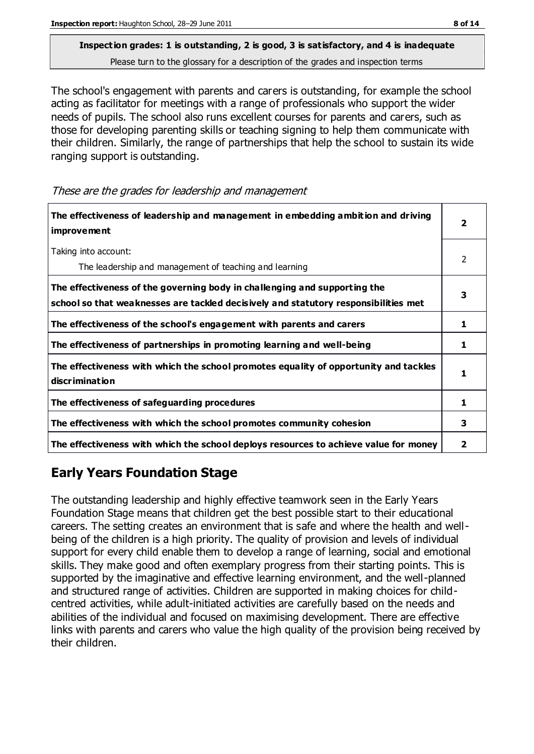The school's engagement with parents and carers is outstanding, for example the school acting as facilitator for meetings with a range of professionals who support the wider needs of pupils. The school also runs excellent courses for parents and carers, such as those for developing parenting skills or teaching signing to help them communicate with their children. Similarly, the range of partnerships that help the school to sustain its wide ranging support is outstanding.

These are the grades for leadership and management

| The effectiveness of leadership and management in embedding ambition and driving<br>improvement                                                                  |    |
|------------------------------------------------------------------------------------------------------------------------------------------------------------------|----|
| Taking into account:<br>The leadership and management of teaching and learning                                                                                   | 2  |
| The effectiveness of the governing body in challenging and supporting the<br>school so that weaknesses are tackled decisively and statutory responsibilities met | 3  |
| The effectiveness of the school's engagement with parents and carers                                                                                             | 1  |
| The effectiveness of partnerships in promoting learning and well-being                                                                                           | 1  |
| The effectiveness with which the school promotes equality of opportunity and tackles<br>discrimination                                                           | 1. |
| The effectiveness of safeguarding procedures                                                                                                                     | 1  |
| The effectiveness with which the school promotes community cohesion                                                                                              | 3  |
| The effectiveness with which the school deploys resources to achieve value for money                                                                             | 2  |

## **Early Years Foundation Stage**

The outstanding leadership and highly effective teamwork seen in the Early Years Foundation Stage means that children get the best possible start to their educational careers. The setting creates an environment that is safe and where the health and wellbeing of the children is a high priority. The quality of provision and levels of individual support for every child enable them to develop a range of learning, social and emotional skills. They make good and often exemplary progress from their starting points. This is supported by the imaginative and effective learning environment, and the well-planned and structured range of activities. Children are supported in making choices for childcentred activities, while adult-initiated activities are carefully based on the needs and abilities of the individual and focused on maximising development. There are effective links with parents and carers who value the high quality of the provision being received by their children.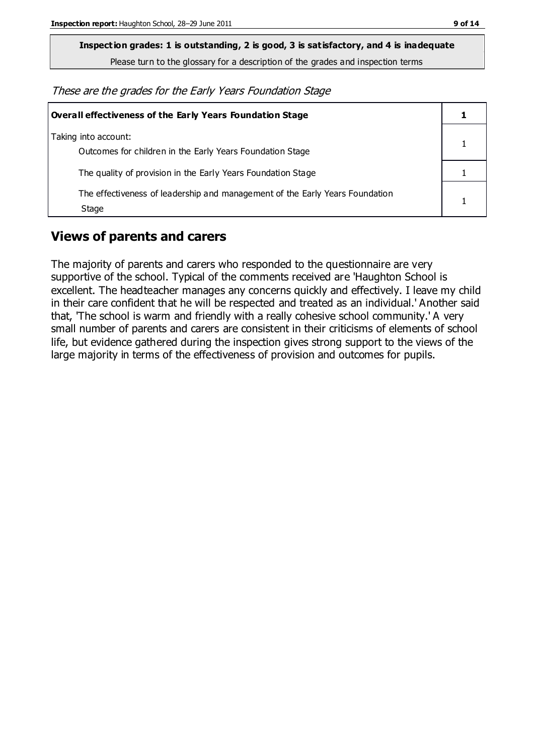**Inspection grades: 1 is outstanding, 2 is good, 3 is satisfactory, and 4 is inadequate**

Please turn to the glossary for a description of the grades and inspection terms

These are the grades for the Early Years Foundation Stage

| <b>Overall effectiveness of the Early Years Foundation Stage</b>                      |  |
|---------------------------------------------------------------------------------------|--|
| Taking into account:<br>Outcomes for children in the Early Years Foundation Stage     |  |
| The quality of provision in the Early Years Foundation Stage                          |  |
| The effectiveness of leadership and management of the Early Years Foundation<br>Stage |  |

#### **Views of parents and carers**

The majority of parents and carers who responded to the questionnaire are very supportive of the school. Typical of the comments received are 'Haughton School is excellent. The headteacher manages any concerns quickly and effectively. I leave my child in their care confident that he will be respected and treated as an individual.' Another said that, 'The school is warm and friendly with a really cohesive school community.' A very small number of parents and carers are consistent in their criticisms of elements of school life, but evidence gathered during the inspection gives strong support to the views of the large majority in terms of the effectiveness of provision and outcomes for pupils.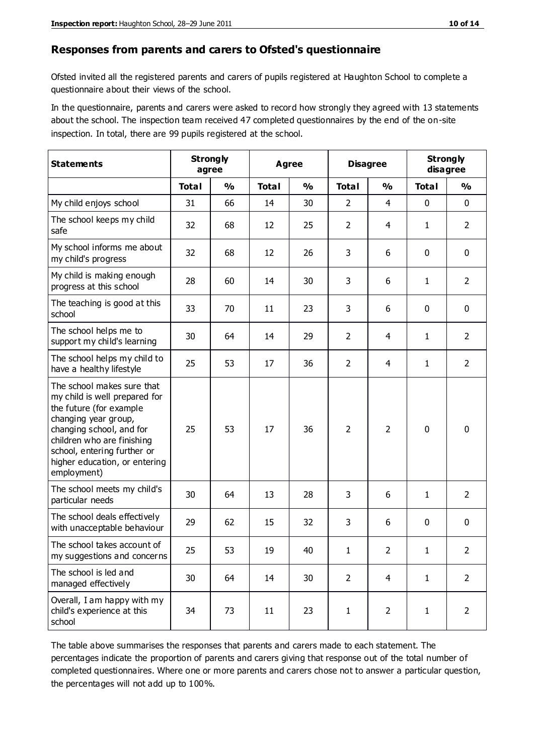#### **Responses from parents and carers to Ofsted's questionnaire**

Ofsted invited all the registered parents and carers of pupils registered at Haughton School to complete a questionnaire about their views of the school.

In the questionnaire, parents and carers were asked to record how strongly they agreed with 13 statements about the school. The inspection team received 47 completed questionnaires by the end of the on-site inspection. In total, there are 99 pupils registered at the school.

| <b>Statements</b>                                                                                                                                                                                                                                       | <b>Strongly</b><br>agree |               | Agree        |               | <b>Disagree</b> |                | <b>Strongly</b><br>disagree |                |
|---------------------------------------------------------------------------------------------------------------------------------------------------------------------------------------------------------------------------------------------------------|--------------------------|---------------|--------------|---------------|-----------------|----------------|-----------------------------|----------------|
|                                                                                                                                                                                                                                                         | <b>Total</b>             | $\frac{0}{0}$ | <b>Total</b> | $\frac{0}{0}$ | <b>Total</b>    | $\frac{0}{0}$  | <b>Total</b>                | $\frac{0}{0}$  |
| My child enjoys school                                                                                                                                                                                                                                  | 31                       | 66            | 14           | 30            | $\overline{2}$  | $\overline{4}$ | $\mathbf 0$                 | $\mathbf 0$    |
| The school keeps my child<br>safe                                                                                                                                                                                                                       | 32                       | 68            | 12           | 25            | $\overline{2}$  | 4              | $\mathbf{1}$                | $\overline{2}$ |
| My school informs me about<br>my child's progress                                                                                                                                                                                                       | 32                       | 68            | 12           | 26            | 3               | 6              | $\mathbf 0$                 | $\mathbf 0$    |
| My child is making enough<br>progress at this school                                                                                                                                                                                                    | 28                       | 60            | 14           | 30            | 3               | 6              | 1                           | $\overline{2}$ |
| The teaching is good at this<br>school                                                                                                                                                                                                                  | 33                       | 70            | 11           | 23            | 3               | 6              | $\mathbf 0$                 | $\mathbf 0$    |
| The school helps me to<br>support my child's learning                                                                                                                                                                                                   | 30                       | 64            | 14           | 29            | $\overline{2}$  | 4              | 1                           | $\overline{2}$ |
| The school helps my child to<br>have a healthy lifestyle                                                                                                                                                                                                | 25                       | 53            | 17           | 36            | $\overline{2}$  | 4              | 1                           | $\overline{2}$ |
| The school makes sure that<br>my child is well prepared for<br>the future (for example<br>changing year group,<br>changing school, and for<br>children who are finishing<br>school, entering further or<br>higher education, or entering<br>employment) | 25                       | 53            | 17           | 36            | $\overline{2}$  | $\overline{2}$ | $\mathbf 0$                 | $\mathbf 0$    |
| The school meets my child's<br>particular needs                                                                                                                                                                                                         | 30                       | 64            | 13           | 28            | 3               | 6              | 1                           | $\overline{2}$ |
| The school deals effectively<br>with unacceptable behaviour                                                                                                                                                                                             | 29                       | 62            | 15           | 32            | 3               | 6              | 0                           | $\mathbf 0$    |
| The school takes account of<br>my suggestions and concerns                                                                                                                                                                                              | 25                       | 53            | 19           | 40            | 1               | $\overline{2}$ | $\mathbf 1$                 | 2              |
| The school is led and<br>managed effectively                                                                                                                                                                                                            | 30                       | 64            | 14           | 30            | $\overline{2}$  | $\overline{4}$ | $\mathbf{1}$                | $\overline{2}$ |
| Overall, I am happy with my<br>child's experience at this<br>school                                                                                                                                                                                     | 34                       | 73            | 11           | 23            | $\mathbf 1$     | $\overline{2}$ | $\mathbf{1}$                | $\overline{2}$ |

The table above summarises the responses that parents and carers made to each statement. The percentages indicate the proportion of parents and carers giving that response out of the total number of completed questionnaires. Where one or more parents and carers chose not to answer a particular question, the percentages will not add up to 100%.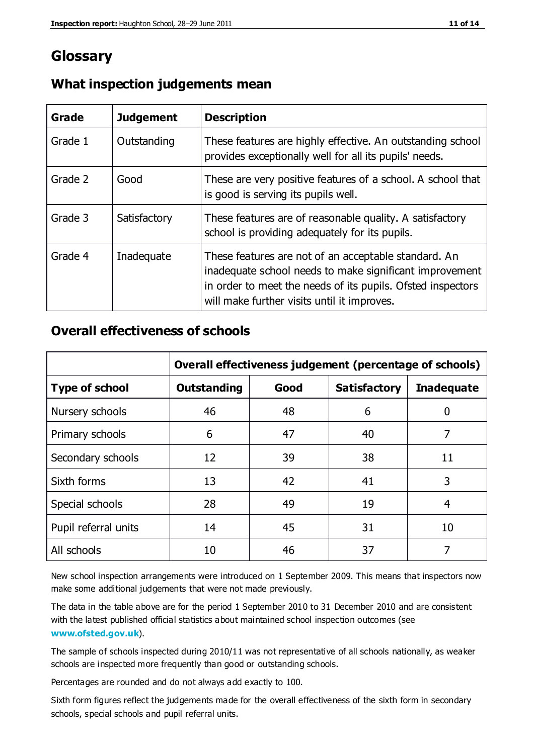## **Glossary**

| Grade   | <b>Judgement</b> | <b>Description</b>                                                                                                                                                                                                            |
|---------|------------------|-------------------------------------------------------------------------------------------------------------------------------------------------------------------------------------------------------------------------------|
| Grade 1 | Outstanding      | These features are highly effective. An outstanding school<br>provides exceptionally well for all its pupils' needs.                                                                                                          |
| Grade 2 | Good             | These are very positive features of a school. A school that<br>is good is serving its pupils well.                                                                                                                            |
| Grade 3 | Satisfactory     | These features are of reasonable quality. A satisfactory<br>school is providing adequately for its pupils.                                                                                                                    |
| Grade 4 | Inadequate       | These features are not of an acceptable standard. An<br>inadequate school needs to make significant improvement<br>in order to meet the needs of its pupils. Ofsted inspectors<br>will make further visits until it improves. |

#### **What inspection judgements mean**

#### **Overall effectiveness of schools**

|                       | Overall effectiveness judgement (percentage of schools) |      |                     |                   |
|-----------------------|---------------------------------------------------------|------|---------------------|-------------------|
| <b>Type of school</b> | <b>Outstanding</b>                                      | Good | <b>Satisfactory</b> | <b>Inadequate</b> |
| Nursery schools       | 46                                                      | 48   | 6                   |                   |
| Primary schools       | 6                                                       | 47   | 40                  | 7                 |
| Secondary schools     | 12                                                      | 39   | 38                  | 11                |
| Sixth forms           | 13                                                      | 42   | 41                  | 3                 |
| Special schools       | 28                                                      | 49   | 19                  | 4                 |
| Pupil referral units  | 14                                                      | 45   | 31                  | 10                |
| All schools           | 10                                                      | 46   | 37                  |                   |

New school inspection arrangements were introduced on 1 September 2009. This means that inspectors now make some additional judgements that were not made previously.

The data in the table above are for the period 1 September 2010 to 31 December 2010 and are consistent with the latest published official statistics about maintained school inspection outcomes (see **[www.ofsted.gov.uk](http://www.ofsted.gov.uk/)**).

The sample of schools inspected during 2010/11 was not representative of all schools nationally, as weaker schools are inspected more frequently than good or outstanding schools.

Percentages are rounded and do not always add exactly to 100.

Sixth form figures reflect the judgements made for the overall effectiveness of the sixth form in secondary schools, special schools and pupil referral units.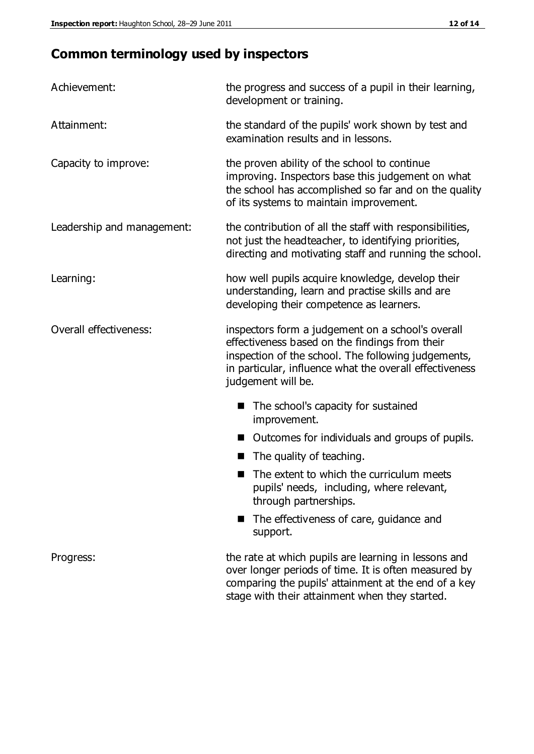# **Common terminology used by inspectors**

| Achievement:                  | the progress and success of a pupil in their learning,<br>development or training.                                                                                                                                                          |
|-------------------------------|---------------------------------------------------------------------------------------------------------------------------------------------------------------------------------------------------------------------------------------------|
| Attainment:                   | the standard of the pupils' work shown by test and<br>examination results and in lessons.                                                                                                                                                   |
| Capacity to improve:          | the proven ability of the school to continue<br>improving. Inspectors base this judgement on what<br>the school has accomplished so far and on the quality<br>of its systems to maintain improvement.                                       |
| Leadership and management:    | the contribution of all the staff with responsibilities,<br>not just the headteacher, to identifying priorities,<br>directing and motivating staff and running the school.                                                                  |
| Learning:                     | how well pupils acquire knowledge, develop their<br>understanding, learn and practise skills and are<br>developing their competence as learners.                                                                                            |
| <b>Overall effectiveness:</b> | inspectors form a judgement on a school's overall<br>effectiveness based on the findings from their<br>inspection of the school. The following judgements,<br>in particular, influence what the overall effectiveness<br>judgement will be. |
|                               | The school's capacity for sustained<br>improvement.                                                                                                                                                                                         |
|                               | Outcomes for individuals and groups of pupils.                                                                                                                                                                                              |
|                               | The quality of teaching.                                                                                                                                                                                                                    |
|                               | The extent to which the curriculum meets<br>pupils' needs, including, where relevant,<br>through partnerships.                                                                                                                              |
|                               | The effectiveness of care, guidance and<br>support.                                                                                                                                                                                         |
| Progress:                     | the rate at which pupils are learning in lessons and<br>over longer periods of time. It is often measured by<br>comparing the pupils' attainment at the end of a key                                                                        |

stage with their attainment when they started.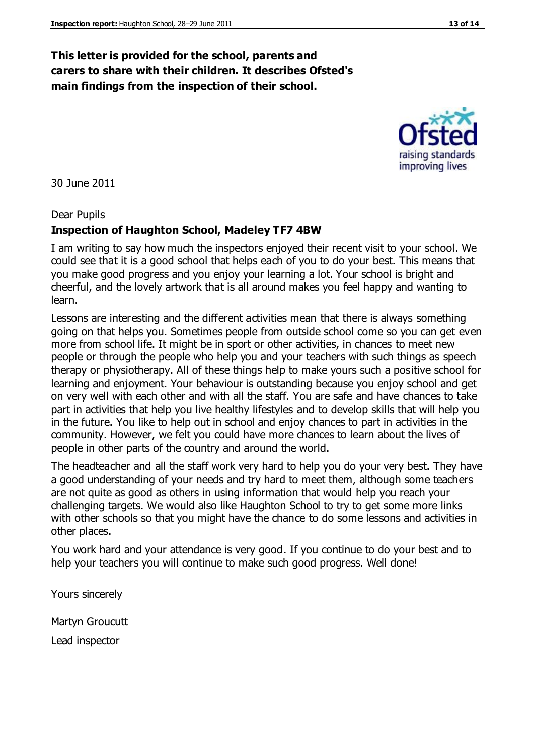## **This letter is provided for the school, parents and carers to share with their children. It describes Ofsted's main findings from the inspection of their school.**

30 June 2011

#### Dear Pupils

#### **Inspection of Haughton School, Madeley TF7 4BW**

I am writing to say how much the inspectors enjoyed their recent visit to your school. We could see that it is a good school that helps each of you to do your best. This means that you make good progress and you enjoy your learning a lot. Your school is bright and cheerful, and the lovely artwork that is all around makes you feel happy and wanting to learn.

Lessons are interesting and the different activities mean that there is always something going on that helps you. Sometimes people from outside school come so you can get even more from school life. It might be in sport or other activities, in chances to meet new people or through the people who help you and your teachers with such things as speech therapy or physiotherapy. All of these things help to make yours such a positive school for learning and enjoyment. Your behaviour is outstanding because you enjoy school and get on very well with each other and with all the staff. You are safe and have chances to take part in activities that help you live healthy lifestyles and to develop skills that will help you in the future. You like to help out in school and enjoy chances to part in activities in the community. However, we felt you could have more chances to learn about the lives of people in other parts of the country and around the world.

The headteacher and all the staff work very hard to help you do your very best. They have a good understanding of your needs and try hard to meet them, although some teachers are not quite as good as others in using information that would help you reach your challenging targets. We would also like Haughton School to try to get some more links with other schools so that you might have the chance to do some lessons and activities in other places.

You work hard and your attendance is very good. If you continue to do your best and to help your teachers you will continue to make such good progress. Well done!

Yours sincerely

Martyn Groucutt